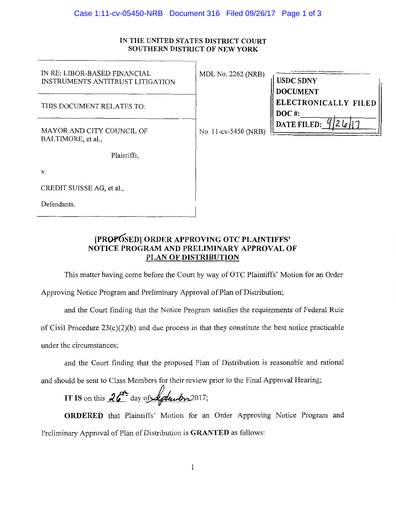## Case 1:11-cv-05450-NRB Document 316 Filed 09/26/17 Page 1 of 3

## IN THE UNITED STATES DISTRICT COURT **SOUTHERN DISTRICT OF NEW YORK**

| IN RE: LIBOR-BASED FINANCIAL<br><b>INSTRUMENTS ANTITRUST LITIGATION</b> | MDL No. 2262 (NRB)   | <b>USDC SDNY</b><br><b>DOCUMENT</b>     |
|-------------------------------------------------------------------------|----------------------|-----------------------------------------|
| THIS DOCUMENT RELATES TO:                                               |                      | <b>ELECTRONICALLY FILED</b><br>$DOC$ #: |
| MAYOR AND CITY COUNCIL OF<br>BALTIMORE, et al.,                         | No. 11-cv-5450 (NRB) | 2 le<br><b>DATE FILED:</b>              |
| Plaintiffs,                                                             |                      |                                         |
| V.                                                                      |                      |                                         |
| CREDIT SUISSE AG, et al.,                                               |                      |                                         |
| Defendants.                                                             |                      |                                         |

# [PR0¥6.~ED] **ORDER APPROVING OTC PLAINTIFFS' NOTICE PROGRAM AND PRELIMINARY APPROVAL OF PLAN OF DISTRIBUTION**

This matter having come before the Court by way of OTC Plaintiffs' Motion for an Order

Approving Notice Program and Preliminary Approval of Plan of Distribution;

and the Court finding that the Notice Program satisfies the requirements of Federal Rule

of Civil Procedure  $23(c)(2)(b)$  and due process in that they constitute the best notice practicable

under the circumstances;

and the Court finding that the proposed Plan of Distribution is reasonable and rational

and should be sent to Class Members for their review prior to the Final Approval Hearing;

IT IS on this 
$$
26^{\circ}
$$
 day of *deduubr*2017;

**ORDERED** that Plaintiffs' Motion for an Order Approving Notice Program and Preliminary Approval of Plan of Distribution is **GRANTED** as follows: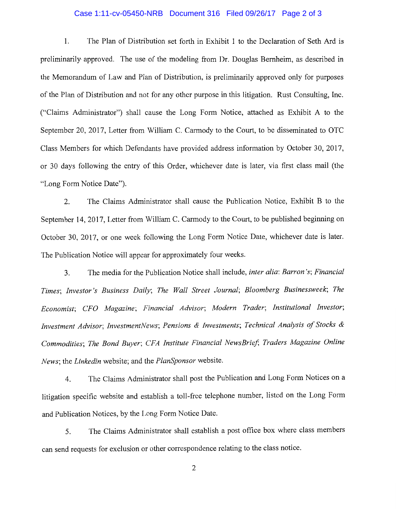# Case 1:11-cv-05450-NRB Document 316 Filed 09/26/17 Page 2 of 3

1. The Plan of Distribution set forth in Exhibit 1 to the Declaration of Seth Ard is preliminarily approved. The use of the modeling from Dr. Douglas Bernheim, as described in the Memorandum of Law and Plan of Distribution, is preliminarily approved only for purposes of the Plan of Distribution and not for any other purpose in this litigation. Rust Consulting, Inc. ("Claims Administrator") shall cause the Long Form Notice, attached as Exhibit A to the September 20, 2017, Letter from William C. Carmody to the Court, to be disseminated to OTC Class Members for which Defendants have provided address information by October 30, 2017, or 30 days following the entry of this Order, whichever date is later, via first class mail (the "Long Form Notice Date").

2. The Claims Administrator shall cause the Publication Notice, Exhibit B to the September 14, 2017, Letter from William C. Carmody to the Court, to be published beginning on October 30, 2017, or one week following the Long Form Notice Date, whichever date is later. The Publication Notice will appear for approximately four weeks.

3. The media for the Publication Notice shall include, *inter alia: Barron's; Financial Times; Investor's Business Daily; The Wall Street Journal; Bloomberg Businessweek; The Economist; CFO Magazine; Financial Advisor; Modern Trader; Institutional Investor; Investment Advisor; InvestmentNews; Pensions & Investments; Technical Analysis of Stocks* & Commodities; The Bond Buyer; CFA Institute Financial NewsBrief; Traders Magazine Online *News;* the *Linkedin* website; and the *PlanSponsor* website.

4. The Claims Administrator shall post the Publication and Long Form Notices on a litigation specific website and establish a toll-free telephone number, listed on the Long Form and Publication Notices, by the Long Form Notice Date.

5. The Claims Administrator shall establish a post office box where class members can send requests for exclusion or other correspondence relating to the class notice.

2